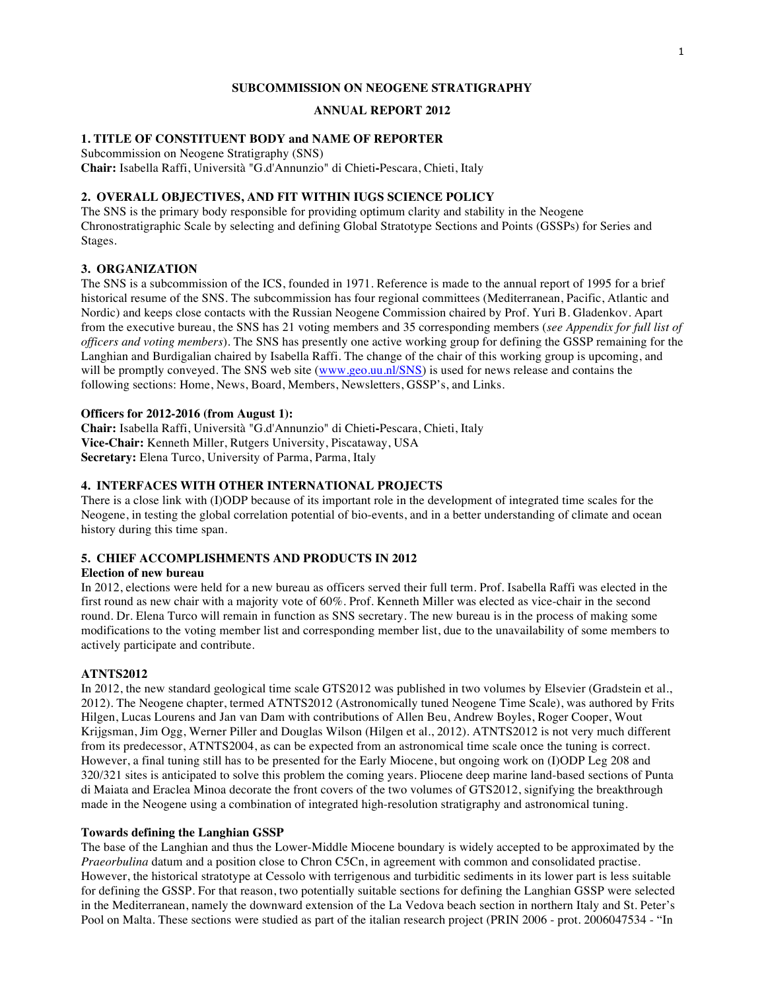#### **SUBCOMMISSION ON NEOGENE STRATIGRAPHY**

## **ANNUAL REPORT 2012**

## **1. TITLE OF CONSTITUENT BODY and NAME OF REPORTER**

Subcommission on Neogene Stratigraphy (SNS)

**Chair:** Isabella Raffi, Università "G.d'Annunzio" di Chieti**-**Pescara, Chieti, Italy

## **2. OVERALL OBJECTIVES, AND FIT WITHIN IUGS SCIENCE POLICY**

The SNS is the primary body responsible for providing optimum clarity and stability in the Neogene Chronostratigraphic Scale by selecting and defining Global Stratotype Sections and Points (GSSPs) for Series and Stages.

### **3. ORGANIZATION**

The SNS is a subcommission of the ICS, founded in 1971. Reference is made to the annual report of 1995 for a brief historical resume of the SNS. The subcommission has four regional committees (Mediterranean, Pacific, Atlantic and Nordic) and keeps close contacts with the Russian Neogene Commission chaired by Prof. Yuri B. Gladenkov. Apart from the executive bureau, the SNS has 21 voting members and 35 corresponding members (*see Appendix for full list of officers and voting members*). The SNS has presently one active working group for defining the GSSP remaining for the Langhian and Burdigalian chaired by Isabella Raffi. The change of the chair of this working group is upcoming, and will be promptly conveyed. The SNS web site (www.geo.uu.nl/SNS) is used for news release and contains the following sections: Home, News, Board, Members, Newsletters, GSSP's, and Links.

### **Officers for 2012-2016 (from August 1):**

**Chair:** Isabella Raffi, Università "G.d'Annunzio" di Chieti**-**Pescara, Chieti, Italy **Vice-Chair:** Kenneth Miller, Rutgers University, Piscataway, USA **Secretary:** Elena Turco, University of Parma, Parma, Italy

#### **4. INTERFACES WITH OTHER INTERNATIONAL PROJECTS**

There is a close link with (I)ODP because of its important role in the development of integrated time scales for the Neogene, in testing the global correlation potential of bio-events, and in a better understanding of climate and ocean history during this time span.

# **5. CHIEF ACCOMPLISHMENTS AND PRODUCTS IN 2012**

### **Election of new bureau**

In 2012, elections were held for a new bureau as officers served their full term. Prof. Isabella Raffi was elected in the first round as new chair with a majority vote of 60%. Prof. Kenneth Miller was elected as vice-chair in the second round. Dr. Elena Turco will remain in function as SNS secretary. The new bureau is in the process of making some modifications to the voting member list and corresponding member list, due to the unavailability of some members to actively participate and contribute.

### **ATNTS2012**

In 2012, the new standard geological time scale GTS2012 was published in two volumes by Elsevier (Gradstein et al., 2012). The Neogene chapter, termed ATNTS2012 (Astronomically tuned Neogene Time Scale), was authored by Frits Hilgen, Lucas Lourens and Jan van Dam with contributions of Allen Beu, Andrew Boyles, Roger Cooper, Wout Krijgsman, Jim Ogg, Werner Piller and Douglas Wilson (Hilgen et al., 2012). ATNTS2012 is not very much different from its predecessor, ATNTS2004, as can be expected from an astronomical time scale once the tuning is correct. However, a final tuning still has to be presented for the Early Miocene, but ongoing work on (I)ODP Leg 208 and 320/321 sites is anticipated to solve this problem the coming years. Pliocene deep marine land-based sections of Punta di Maiata and Eraclea Minoa decorate the front covers of the two volumes of GTS2012, signifying the breakthrough made in the Neogene using a combination of integrated high-resolution stratigraphy and astronomical tuning.

### **Towards defining the Langhian GSSP**

The base of the Langhian and thus the Lower-Middle Miocene boundary is widely accepted to be approximated by the *Praeorbulina* datum and a position close to Chron C5Cn, in agreement with common and consolidated practise. However, the historical stratotype at Cessolo with terrigenous and turbiditic sediments in its lower part is less suitable for defining the GSSP. For that reason, two potentially suitable sections for defining the Langhian GSSP were selected in the Mediterranean, namely the downward extension of the La Vedova beach section in northern Italy and St. Peter's Pool on Malta. These sections were studied as part of the italian research project (PRIN 2006 - prot. 2006047534 - "In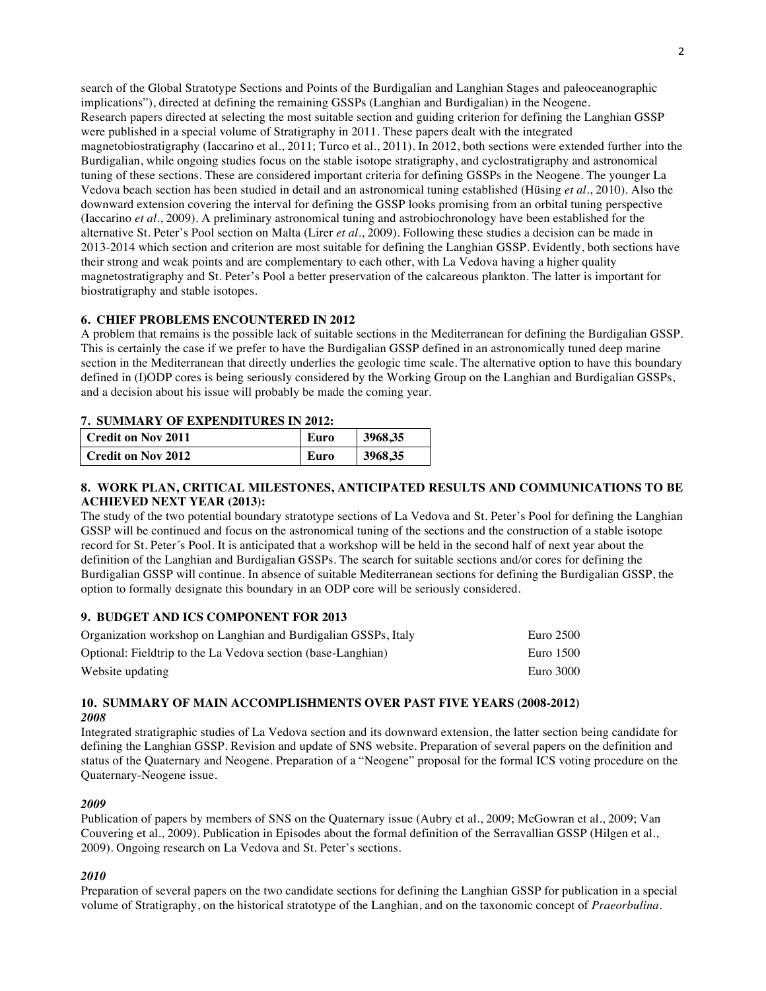search of the Global Stratotype Sections and Points of the Burdigalian and Langhian Stages and paleoceanographic implications"), directed at defining the remaining GSSPs (Langhian and Burdigalian) in the Neogene. Research papers directed at selecting the most suitable section and guiding criterion for defining the Langhian GSSP were published in a special volume of Stratigraphy in 2011. These papers dealt with the integrated magnetobiostratigraphy (Iaccarino et al., 2011; Turco et al., 2011). In 2012, both sections were extended further into the Burdigalian, while ongoing studies focus on the stable isotope stratigraphy, and cyclostratigraphy and astronomical tuning of these sections. These are considered important criteria for defining GSSPs in the Neogene. The younger La Vedova beach section has been studied in detail and an astronomical tuning established (Hüsing *et al*., 2010). Also the downward extension covering the interval for defining the GSSP looks promising from an orbital tuning perspective (Iaccarino *et al*., 2009). A preliminary astronomical tuning and astrobiochronology have been established for the alternative St. Peter's Pool section on Malta (Lirer *et al*., 2009). Following these studies a decision can be made in 2013-2014 which section and criterion are most suitable for defining the Langhian GSSP. Evidently, both sections have their strong and weak points and are complementary to each other, with La Vedova having a higher quality magnetostratigraphy and St. Peter's Pool a better preservation of the calcareous plankton. The latter is important for biostratigraphy and stable isotopes.

## **6. CHIEF PROBLEMS ENCOUNTERED IN 2012**

A problem that remains is the possible lack of suitable sections in the Mediterranean for defining the Burdigalian GSSP. This is certainly the case if we prefer to have the Burdigalian GSSP defined in an astronomically tuned deep marine section in the Mediterranean that directly underlies the geologic time scale. The alternative option to have this boundary defined in (I)ODP cores is being seriously considered by the Working Group on the Langhian and Burdigalian GSSPs, and a decision about his issue will probably be made the coming year.

### **7. SUMMARY OF EXPENDITURES IN 2012:**

| l Credit on Nov 2011 | Euro | 3968,35 |
|----------------------|------|---------|
| l Credit on Nov 2012 | Euro | 3968,35 |

## **8. WORK PLAN, CRITICAL MILESTONES, ANTICIPATED RESULTS AND COMMUNICATIONS TO BE ACHIEVED NEXT YEAR (2013):**

The study of the two potential boundary stratotype sections of La Vedova and St. Peter's Pool for defining the Langhian GSSP will be continued and focus on the astronomical tuning of the sections and the construction of a stable isotope record for St. Peter´s Pool. It is anticipated that a workshop will be held in the second half of next year about the definition of the Langhian and Burdigalian GSSPs. The search for suitable sections and/or cores for defining the Burdigalian GSSP will continue. In absence of suitable Mediterranean sections for defining the Burdigalian GSSP, the option to formally designate this boundary in an ODP core will be seriously considered.

### **9. BUDGET AND ICS COMPONENT FOR 2013**

| Organization workshop on Langhian and Burdigalian GSSPs, Italy | Euro 2500 |
|----------------------------------------------------------------|-----------|
| Optional: Fieldtrip to the La Vedova section (base-Langhian)   | Euro 1500 |
| Website updating                                               | Euro 3000 |

#### **10. SUMMARY OF MAIN ACCOMPLISHMENTS OVER PAST FIVE YEARS (2008-2012)** *2008*

Integrated stratigraphic studies of La Vedova section and its downward extension, the latter section being candidate for defining the Langhian GSSP. Revision and update of SNS website. Preparation of several papers on the definition and status of the Quaternary and Neogene. Preparation of a "Neogene" proposal for the formal ICS voting procedure on the Quaternary-Neogene issue.

### *2009*

Publication of papers by members of SNS on the Quaternary issue (Aubry et al., 2009; McGowran et al., 2009; Van Couvering et al., 2009). Publication in Episodes about the formal definition of the Serravallian GSSP (Hilgen et al., 2009). Ongoing research on La Vedova and St. Peter's sections.

## *2010*

Preparation of several papers on the two candidate sections for defining the Langhian GSSP for publication in a special volume of Stratigraphy, on the historical stratotype of the Langhian, and on the taxonomic concept of *Praeorbulina*.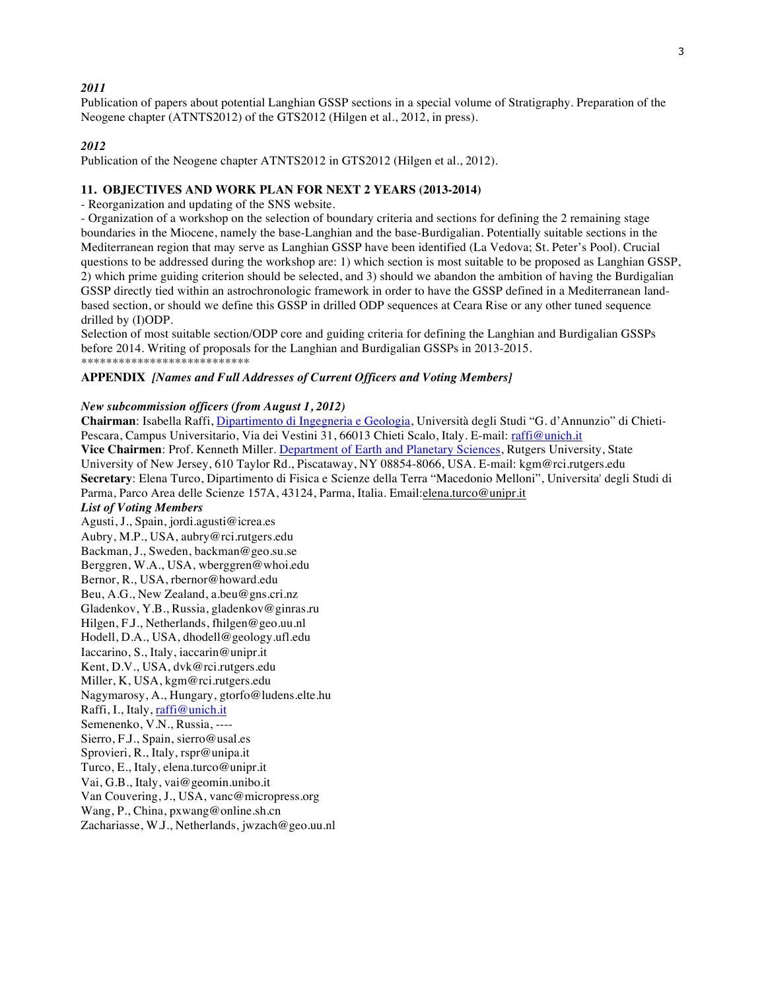## *2011*

Publication of papers about potential Langhian GSSP sections in a special volume of Stratigraphy. Preparation of the Neogene chapter (ATNTS2012) of the GTS2012 (Hilgen et al., 2012, in press).

## *2012*

Publication of the Neogene chapter ATNTS2012 in GTS2012 (Hilgen et al., 2012).

#### **11. OBJECTIVES AND WORK PLAN FOR NEXT 2 YEARS (2013-2014)**

- Reorganization and updating of the SNS website.

- Organization of a workshop on the selection of boundary criteria and sections for defining the 2 remaining stage boundaries in the Miocene, namely the base-Langhian and the base-Burdigalian. Potentially suitable sections in the Mediterranean region that may serve as Langhian GSSP have been identified (La Vedova; St. Peter's Pool). Crucial questions to be addressed during the workshop are: 1) which section is most suitable to be proposed as Langhian GSSP, 2) which prime guiding criterion should be selected, and 3) should we abandon the ambition of having the Burdigalian GSSP directly tied within an astrochronologic framework in order to have the GSSP defined in a Mediterranean landbased section, or should we define this GSSP in drilled ODP sequences at Ceara Rise or any other tuned sequence drilled by (I)ODP.

Selection of most suitable section/ODP core and guiding criteria for defining the Langhian and Burdigalian GSSPs before 2014. Writing of proposals for the Langhian and Burdigalian GSSPs in 2013-2015. \*\*\*\*\*\*\*\*\*\*\*\*\*\*\*\*\*\*\*\*\*\*\*\*\*\*\*

#### **APPENDIX** *[Names and Full Addresses of Current Officers and Voting Members]*

#### *New subcommission officers (from August 1, 2012)*

**Chairman**: Isabella Raffi, Dipartimento di Ingegneria e Geologia, Università degli Studi "G. d'Annunzio" di Chieti-Pescara, Campus Universitario, Via dei Vestini 31, 66013 Chieti Scalo, Italy. E-mail: raffi@unich.it Vice Chairmen: Prof. Kenneth Miller. Department of Earth and Planetary Sciences, Rutgers University, State University of New Jersey, 610 Taylor Rd., Piscataway, NY 08854-8066, USA. E-mail: kgm@rci.rutgers.edu **Secretary**: Elena Turco, Dipartimento di Fisica e Scienze della Terra "Macedonio Melloni", Universita' degli Studi di Parma, Parco Area delle Scienze 157A, 43124, Parma, Italia. Email:elena.turco@unipr.it

#### *List of Voting Members*

Agusti, J., Spain, jordi.agusti@icrea.es Aubry, M.P., USA, aubry@rci.rutgers.edu Backman, J., Sweden, backman@geo.su.se Berggren, W.A., USA, wberggren@whoi.edu Bernor, R., USA, rbernor@howard.edu Beu, A.G., New Zealand, a.beu@gns.cri.nz Gladenkov, Y.B., Russia, gladenkov@ginras.ru Hilgen, F.J., Netherlands, fhilgen@geo.uu.nl Hodell, D.A., USA, dhodell@geology.ufl.edu Iaccarino, S., Italy, iaccarin@unipr.it Kent, D.V., USA, dvk@rci.rutgers.edu Miller, K, USA, kgm@rci.rutgers.edu Nagymarosy, A., Hungary, gtorfo@ludens.elte.hu Raffi, I., Italy, raffi@unich.it Semenenko, V.N., Russia, ---- Sierro, F.J., Spain, sierro@usal.es Sprovieri, R., Italy, rspr@unipa.it Turco, E., Italy, elena.turco@unipr.it Vai, G.B., Italy, vai@geomin.unibo.it Van Couvering, J., USA, vanc@micropress.org Wang, P., China, pxwang@online.sh.cn Zachariasse, W.J., Netherlands, jwzach@geo.uu.nl